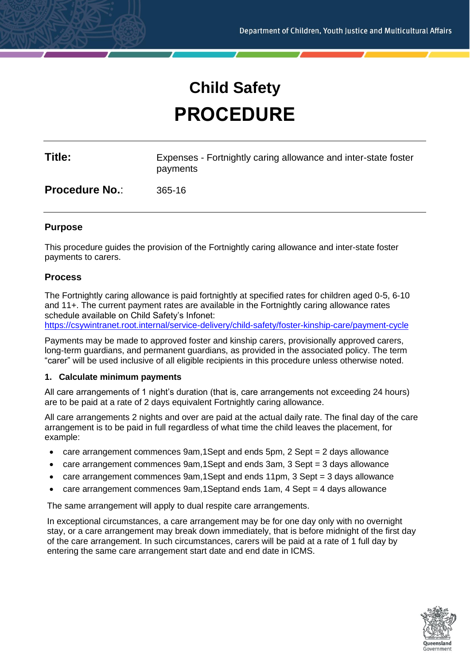# **Child Safety PROCEDURE**

| Title:                | Expenses - Fortnightly caring allowance and inter-state foster<br>payments |
|-----------------------|----------------------------------------------------------------------------|
| <b>Procedure No.:</b> | $365-16$                                                                   |

# **Purpose**

This procedure guides the provision of the Fortnightly caring allowance and inter-state foster payments to carers.

## **Process**

The Fortnightly caring allowance is paid fortnightly at specified rates for children aged 0-5, 6-10 and 11+. The current payment rates are available in the Fortnightly caring allowance rates schedule available on Child Safety's Infonet: <https://csywintranet.root.internal/service-delivery/child-safety/foster-kinship-care/payment-cycle>

Payments may be made to approved foster and kinship carers, provisionally approved carers, long-term guardians, and permanent guardians, as provided in the associated policy. The term "carer" will be used inclusive of all eligible recipients in this procedure unless otherwise noted.

#### **1. Calculate minimum payments**

All care arrangements of 1 night's duration (that is, care arrangements not exceeding 24 hours) are to be paid at a rate of 2 days equivalent Fortnightly caring allowance.

All care arrangements 2 nights and over are paid at the actual daily rate. The final day of the care arrangement is to be paid in full regardless of what time the child leaves the placement, for example:

- care arrangement commences 9am,1Sept and ends 5pm, 2 Sept = 2 days allowance
- care arrangement commences 9am,1Sept and ends 3am, 3 Sept = 3 days allowance
- care arrangement commences 9am,1Sept and ends 11pm, 3 Sept = 3 days allowance
- care arrangement commences 9am,1Septand ends 1am, 4 Sept = 4 days allowance

The same arrangement will apply to dual respite care arrangements.

In exceptional circumstances, a care arrangement may be for one day only with no overnight stay, or a care arrangement may break down immediately, that is before midnight of the first day of the care arrangement. In such circumstances, carers will be paid at a rate of 1 full day by entering the same care arrangement start date and end date in ICMS.

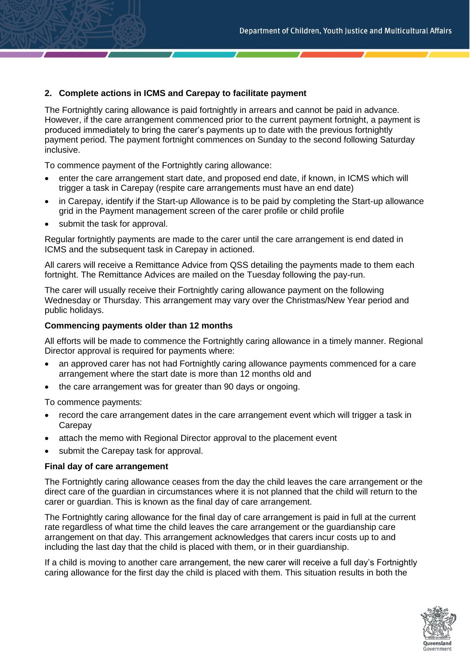# **2. Complete actions in ICMS and Carepay to facilitate payment**

The Fortnightly caring allowance is paid fortnightly in arrears and cannot be paid in advance. However, if the care arrangement commenced prior to the current payment fortnight, a payment is produced immediately to bring the carer's payments up to date with the previous fortnightly payment period. The payment fortnight commences on Sunday to the second following Saturday inclusive.

To commence payment of the Fortnightly caring allowance:

- enter the care arrangement start date, and proposed end date, if known, in ICMS which will trigger a task in Carepay (respite care arrangements must have an end date)
- in Carepay, identify if the Start-up Allowance is to be paid by completing the Start-up allowance grid in the Payment management screen of the carer profile or child profile
- submit the task for approval.

Regular fortnightly payments are made to the carer until the care arrangement is end dated in ICMS and the subsequent task in Carepay in actioned.

All carers will receive a Remittance Advice from QSS detailing the payments made to them each fortnight. The Remittance Advices are mailed on the Tuesday following the pay-run.

The carer will usually receive their Fortnightly caring allowance payment on the following Wednesday or Thursday. This arrangement may vary over the Christmas/New Year period and public holidays.

#### **Commencing payments older than 12 months**

All efforts will be made to commence the Fortnightly caring allowance in a timely manner. Regional Director approval is required for payments where:

- an approved carer has not had Fortnightly caring allowance payments commenced for a care arrangement where the start date is more than 12 months old and
- the care arrangement was for greater than 90 days or ongoing.

To commence payments:

- record the care arrangement dates in the care arrangement event which will trigger a task in Carepay
- attach the memo with Regional Director approval to the placement event
- submit the Carepay task for approval.

#### **Final day of care arrangement**

The Fortnightly caring allowance ceases from the day the child leaves the care arrangement or the direct care of the guardian in circumstances where it is not planned that the child will return to the carer or guardian. This is known as the final day of care arrangement.

The Fortnightly caring allowance for the final day of care arrangement is paid in full at the current rate regardless of what time the child leaves the care arrangement or the guardianship care arrangement on that day. This arrangement acknowledges that carers incur costs up to and including the last day that the child is placed with them, or in their guardianship.

If a child is moving to another care arrangement, the new carer will receive a full day's Fortnightly caring allowance for the first day the child is placed with them. This situation results in both the

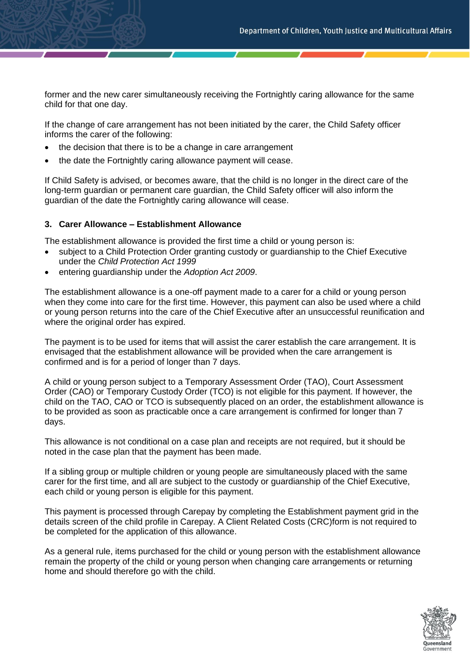former and the new carer simultaneously receiving the Fortnightly caring allowance for the same child for that one day.

If the change of care arrangement has not been initiated by the carer, the Child Safety officer informs the carer of the following:

- the decision that there is to be a change in care arrangement
- the date the Fortnightly caring allowance payment will cease.

If Child Safety is advised, or becomes aware, that the child is no longer in the direct care of the long-term guardian or permanent care guardian, the Child Safety officer will also inform the guardian of the date the Fortnightly caring allowance will cease.

## **3. Carer Allowance – Establishment Allowance**

The establishment allowance is provided the first time a child or young person is:

- subject to a Child Protection Order granting custody or guardianship to the Chief Executive under the *Child Protection Act 1999*
- entering guardianship under the *Adoption Act 2009*.

The establishment allowance is a one-off payment made to a carer for a child or young person when they come into care for the first time. However, this payment can also be used where a child or young person returns into the care of the Chief Executive after an unsuccessful reunification and where the original order has expired.

The payment is to be used for items that will assist the carer establish the care arrangement. It is envisaged that the establishment allowance will be provided when the care arrangement is confirmed and is for a period of longer than 7 days.

A child or young person subject to a Temporary Assessment Order (TAO), Court Assessment Order (CAO) or Temporary Custody Order (TCO) is not eligible for this payment. If however, the child on the TAO, CAO or TCO is subsequently placed on an order, the establishment allowance is to be provided as soon as practicable once a care arrangement is confirmed for longer than 7 days.

This allowance is not conditional on a case plan and receipts are not required, but it should be noted in the case plan that the payment has been made.

If a sibling group or multiple children or young people are simultaneously placed with the same carer for the first time, and all are subject to the custody or guardianship of the Chief Executive, each child or young person is eligible for this payment.

This payment is processed through Carepay by completing the Establishment payment grid in the details screen of the child profile in Carepay. A Client Related Costs (CRC)form is not required to be completed for the application of this allowance.

As a general rule, items purchased for the child or young person with the establishment allowance remain the property of the child or young person when changing care arrangements or returning home and should therefore go with the child.

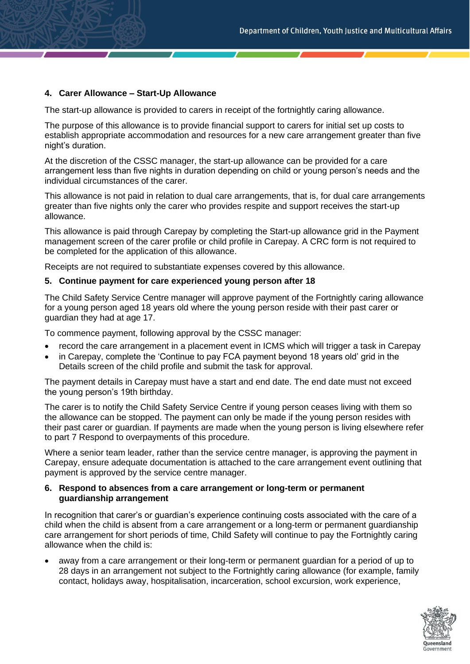# **4. Carer Allowance – Start-Up Allowance**

The start-up allowance is provided to carers in receipt of the fortnightly caring allowance.

The purpose of this allowance is to provide financial support to carers for initial set up costs to establish appropriate accommodation and resources for a new care arrangement greater than five night's duration.

At the discretion of the CSSC manager, the start-up allowance can be provided for a care arrangement less than five nights in duration depending on child or young person's needs and the individual circumstances of the carer.

This allowance is not paid in relation to dual care arrangements, that is, for dual care arrangements greater than five nights only the carer who provides respite and support receives the start-up allowance.

This allowance is paid through Carepay by completing the Start-up allowance grid in the Payment management screen of the carer profile or child profile in Carepay. A CRC form is not required to be completed for the application of this allowance.

Receipts are not required to substantiate expenses covered by this allowance.

## **5. Continue payment for care experienced young person after 18**

The Child Safety Service Centre manager will approve payment of the Fortnightly caring allowance for a young person aged 18 years old where the young person reside with their past carer or guardian they had at age 17.

To commence payment, following approval by the CSSC manager:

- record the care arrangement in a placement event in ICMS which will trigger a task in Carepay
- in Carepay, complete the 'Continue to pay FCA payment beyond 18 years old' grid in the Details screen of the child profile and submit the task for approval.

The payment details in Carepay must have a start and end date. The end date must not exceed the young person's 19th birthday.

The carer is to notify the Child Safety Service Centre if young person ceases living with them so the allowance can be stopped. The payment can only be made if the young person resides with their past carer or guardian. If payments are made when the young person is living elsewhere refer to part 7 Respond to overpayments of this procedure.

Where a senior team leader, rather than the service centre manager, is approving the payment in Carepay, ensure adequate documentation is attached to the care arrangement event outlining that payment is approved by the service centre manager.

## **6. Respond to absences from a care arrangement or long-term or permanent guardianship arrangement**

In recognition that carer's or guardian's experience continuing costs associated with the care of a child when the child is absent from a care arrangement or a long-term or permanent guardianship care arrangement for short periods of time, Child Safety will continue to pay the Fortnightly caring allowance when the child is:

away from a care arrangement or their long-term or permanent guardian for a period of up to 28 days in an arrangement not subject to the Fortnightly caring allowance (for example, family contact, holidays away, hospitalisation, incarceration, school excursion, work experience,

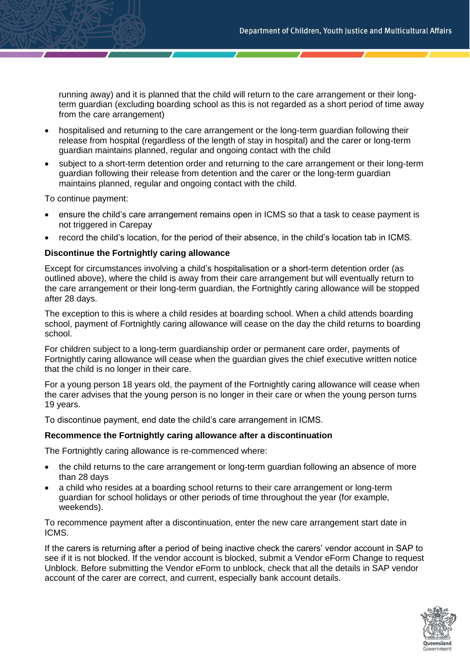running away) and it is planned that the child will return to the care arrangement or their longterm guardian (excluding boarding school as this is not regarded as a short period of time away from the care arrangement)

- hospitalised and returning to the care arrangement or the long-term guardian following their release from hospital (regardless of the length of stay in hospital) and the carer or long-term guardian maintains planned, regular and ongoing contact with the child
- subject to a short-term detention order and returning to the care arrangement or their long-term guardian following their release from detention and the carer or the long-term guardian maintains planned, regular and ongoing contact with the child.

To continue payment:

- ensure the child's care arrangement remains open in ICMS so that a task to cease payment is not triggered in Carepay
- record the child's location, for the period of their absence, in the child's location tab in ICMS.

## **Discontinue the Fortnightly caring allowance**

Except for circumstances involving a child's hospitalisation or a short-term detention order (as outlined above), where the child is away from their care arrangement but will eventually return to the care arrangement or their long-term guardian, the Fortnightly caring allowance will be stopped after 28 days.

The exception to this is where a child resides at boarding school. When a child attends boarding school, payment of Fortnightly caring allowance will cease on the day the child returns to boarding school.

For children subject to a long-term guardianship order or permanent care order, payments of Fortnightly caring allowance will cease when the guardian gives the chief executive written notice that the child is no longer in their care.

For a young person 18 years old, the payment of the Fortnightly caring allowance will cease when the carer advises that the young person is no longer in their care or when the young person turns 19 years.

To discontinue payment, end date the child's care arrangement in ICMS.

## **Recommence the Fortnightly caring allowance after a discontinuation**

The Fortnightly caring allowance is re-commenced where:

- the child returns to the care arrangement or long-term guardian following an absence of more than 28 days
- a child who resides at a boarding school returns to their care arrangement or long-term guardian for school holidays or other periods of time throughout the year (for example, weekends).

To recommence payment after a discontinuation, enter the new care arrangement start date in ICMS.

If the carers is returning after a period of being inactive check the carers' vendor account in SAP to see if it is not blocked. If the vendor account is blocked, submit a Vendor eForm Change to request Unblock. Before submitting the Vendor eForm to unblock, check that all the details in SAP vendor account of the carer are correct, and current, especially bank account details.

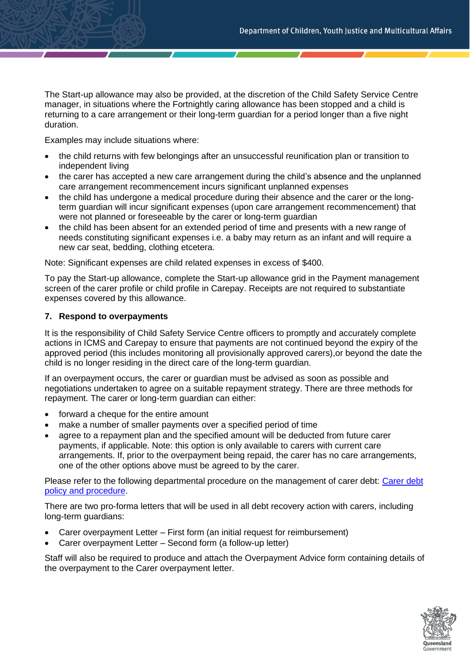The Start-up allowance may also be provided, at the discretion of the Child Safety Service Centre manager, in situations where the Fortnightly caring allowance has been stopped and a child is returning to a care arrangement or their long-term guardian for a period longer than a five night duration.

Examples may include situations where:

- the child returns with few belongings after an unsuccessful reunification plan or transition to independent living
- the carer has accepted a new care arrangement during the child's absence and the unplanned care arrangement recommencement incurs significant unplanned expenses
- the child has undergone a medical procedure during their absence and the carer or the longterm guardian will incur significant expenses (upon care arrangement recommencement) that were not planned or foreseeable by the carer or long-term guardian
- the child has been absent for an extended period of time and presents with a new range of needs constituting significant expenses i.e. a baby may return as an infant and will require a new car seat, bedding, clothing etcetera.

Note: Significant expenses are child related expenses in excess of \$400.

To pay the Start-up allowance, complete the Start-up allowance grid in the Payment management screen of the carer profile or child profile in Carepay. Receipts are not required to substantiate expenses covered by this allowance.

#### **7. Respond to overpayments**

It is the responsibility of Child Safety Service Centre officers to promptly and accurately complete actions in ICMS and Carepay to ensure that payments are not continued beyond the expiry of the approved period (this includes monitoring all provisionally approved carers),or beyond the date the child is no longer residing in the direct care of the long-term guardian.

If an overpayment occurs, the carer or guardian must be advised as soon as possible and negotiations undertaken to agree on a suitable repayment strategy. There are three methods for repayment. The carer or long-term guardian can either:

- forward a cheque for the entire amount
- make a number of smaller payments over a specified period of time
- agree to a repayment plan and the specified amount will be deducted from future carer payments, if applicable. Note: this option is only available to carers with current care arrangements. If, prior to the overpayment being repaid, the carer has no care arrangements, one of the other options above must be agreed to by the carer.

Please refer to the following departmental procedure on the management of carer debt: [Carer debt](https://cyjmaintranet.root.internal/policies-procedures/finance-procurement/financial-management-practice-manual-fmpm)  [policy and procedure.](https://cyjmaintranet.root.internal/policies-procedures/finance-procurement/financial-management-practice-manual-fmpm)

There are two pro-forma letters that will be used in all debt recovery action with carers, including long-term guardians:

- Carer overpayment Letter First form (an initial request for reimbursement)
- Carer overpayment Letter Second form (a follow-up letter)

Staff will also be required to produce and attach the Overpayment Advice form containing details of the overpayment to the Carer overpayment letter.

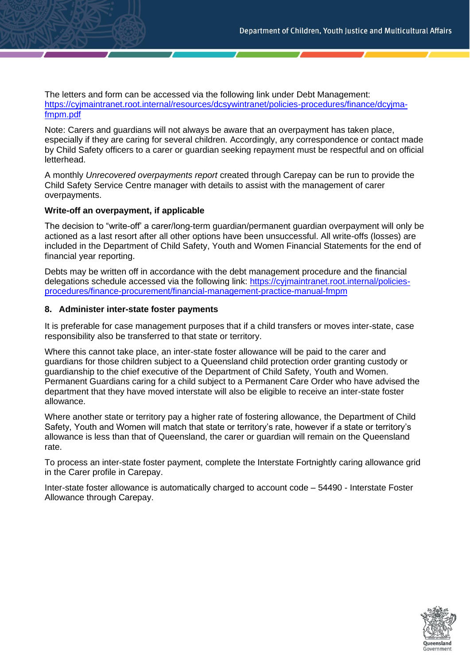The letters and form can be accessed via the following link under Debt Management: [https://cyjmaintranet.root.internal/resources/dcsywintranet/policies-procedures/finance/dcyjma](http://intranet.root.internal/comintranet/forms-templates/finance-and-procurement/qss-and-internal-finance-forms/internal-forms)[fmpm.pdf](http://intranet.root.internal/comintranet/forms-templates/finance-and-procurement/qss-and-internal-finance-forms/internal-forms)

Note: Carers and guardians will not always be aware that an overpayment has taken place, especially if they are caring for several children. Accordingly, any correspondence or contact made by Child Safety officers to a carer or guardian seeking repayment must be respectful and on official letterhead.

A monthly *Unrecovered overpayments report* created through Carepay can be run to provide the Child Safety Service Centre manager with details to assist with the management of carer overpayments.

# **Write-off an overpayment, if applicable**

The decision to "write-off' a carer/long-term guardian/permanent guardian overpayment will only be actioned as a last resort after all other options have been unsuccessful. All write-offs (losses) are included in the Department of Child Safety, Youth and Women Financial Statements for the end of financial year reporting.

Debts may be written off in accordance with the debt management procedure and the financial delegations schedule accessed via the following link: [https://cyjmaintranet.root.internal/policies](https://csywintranet.root.internal/policies-procedures/finance-procurement/financial-management-practice-manual-fmpm/financial-governance)[procedures/finance-procurement/financial-management-practice-manual-fmpm](https://csywintranet.root.internal/policies-procedures/finance-procurement/financial-management-practice-manual-fmpm/financial-governance)

## **8. Administer inter-state foster payments**

It is preferable for case management purposes that if a child transfers or moves inter-state, case responsibility also be transferred to that state or territory.

Where this cannot take place, an inter-state foster allowance will be paid to the carer and guardians for those children subject to a Queensland child protection order granting custody or guardianship to the chief executive of the Department of Child Safety, Youth and Women. Permanent Guardians caring for a child subject to a Permanent Care Order who have advised the department that they have moved interstate will also be eligible to receive an inter-state foster allowance.

Where another state or territory pay a higher rate of fostering allowance, the Department of Child Safety, Youth and Women will match that state or territory's rate, however if a state or territory's allowance is less than that of Queensland, the carer or guardian will remain on the Queensland rate.

To process an inter-state foster payment, complete the Interstate Fortnightly caring allowance grid in the Carer profile in Carepay.

Inter-state foster allowance is automatically charged to account code – 54490 - Interstate Foster Allowance through Carepay.

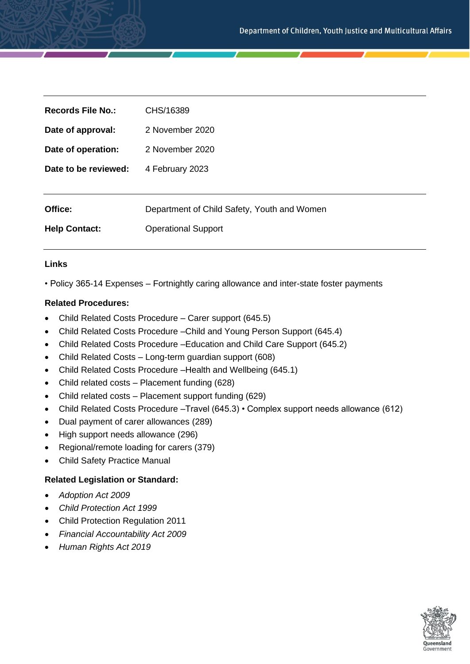| Records File No.:    | CHS/16389                                   |
|----------------------|---------------------------------------------|
| Date of approval:    | 2 November 2020                             |
| Date of operation:   | 2 November 2020                             |
| Date to be reviewed: | 4 February 2023                             |
|                      |                                             |
| Office:              | Department of Child Safety, Youth and Women |
| <b>Help Contact:</b> | <b>Operational Support</b>                  |

# **Links**

• Policy 365-14 Expenses – Fortnightly caring allowance and inter-state foster payments

## **Related Procedures:**

- Child Related Costs Procedure Carer support (645.5)
- Child Related Costs Procedure –Child and Young Person Support (645.4)
- Child Related Costs Procedure –Education and Child Care Support (645.2)
- Child Related Costs Long-term guardian support (608)
- Child Related Costs Procedure Health and Wellbeing (645.1)
- Child related costs Placement funding (628)
- Child related costs Placement support funding (629)
- Child Related Costs Procedure –Travel (645.3) Complex support needs allowance (612)
- Dual payment of carer allowances (289)
- High support needs allowance (296)
- Regional/remote loading for carers (379)
- Child Safety Practice Manual

## **Related Legislation or Standard:**

- *Adoption Act 2009*
- *Child Protection Act 1999*
- Child Protection Regulation 2011
- *Financial Accountability Act 2009*
- *Human Rights Act 2019*